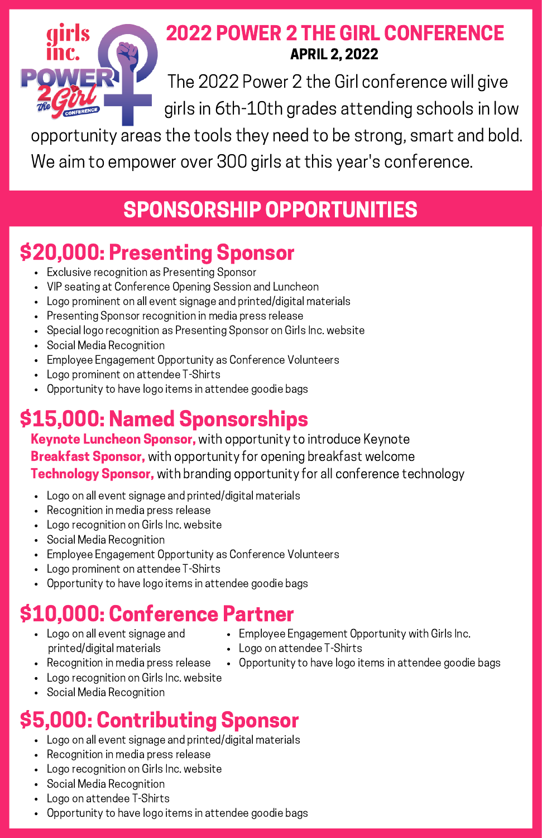

#### 2022 POWER 2 THE GIRL CONFERENCE APRIL 2, 2022

The 2022 Power 2 the Girl conference will give girls in 6th-10th grades attending schools in low

opportunity areas the tools they need to be strong, smart and bold. We aim to empower over 300 girls at this year's conference.

#### SPONSORSHIP OPPORTUNITIES

### \$20,000: Presenting Sponsor

- Exclusive recognition as Presenting Sponsor
- VIP seating at Conference Opening Session and Luncheon
- Logo prominent on all event signage and printed/digital materials
- Presenting Sponsor recognition in media press release
- Special logo recognition as Presenting Sponsor on Girls Inc. website
- Social Media Recognition
- Employee Engagement Opportunity as Conference Volunteers
- Logo prominent on attendee T-Shirts
- Opportunity to have logo items in attendee goodie bags

## \$15,000: Named Sponsorships

Keynote Luncheon Sponsor, with opportunity to introduce Keynote **Breakfast Sponsor,** with opportunity for opening breakfast welcome **Technology Sponsor,** with branding opportunity for all conference technology

- Logo on all event signage and printed/digital materials
- Recognition in media press release
- Logo recognition on Girls Inc. website
- Social Media Recognition
- Employee Engagement Opportunity as Conference Volunteers
- Logo prominent on attendee T-Shirts
- Opportunity to have logo items in attendee goodie bags

## \$10,000: Conference Partner

- Logo on all event signage and printed/digital materials
- Logo on attendee T-Shirts
- Recognition in media press release
- Logo recognition on Girls Inc. website
- Social Media Recognition

### \$5,000: Contributing Sponsor

- Logo on all event signage and printed/digital materials
- Recognition in media press release
- Logo recognition on Girls Inc. website
- Social Media Recognition
- Logo on attendee T-Shirts
- Opportunity to have logo items in attendee goodie bags
- Employee Engagement Opportunity with Girls Inc.
- Opportunity to have logo items in attendee goodie bags